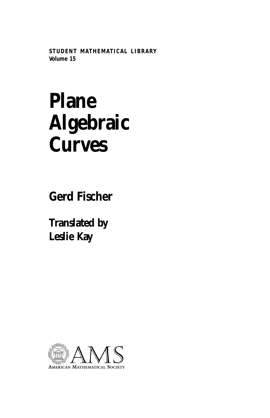**STUDENT MATHEMATICAL LIBRARY Volume 15**

# **Plane Algebraic Curves**

**Gerd Fischer** 

**Translated by Leslie Kay**

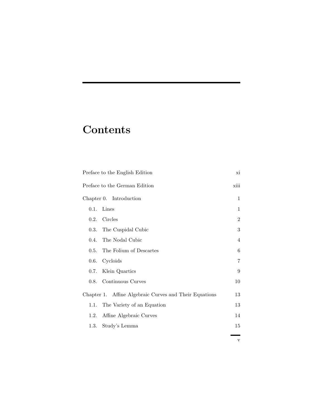## **Contents**

| Preface to the English Edition                         |                |  |
|--------------------------------------------------------|----------------|--|
| Preface to the German Edition                          | xiii           |  |
| Chapter 0. Introduction                                |                |  |
| Lines<br>0.1.                                          | 1              |  |
| Circles<br>0.2.                                        | $\overline{2}$ |  |
| The Cuspidal Cubic<br>0.3.                             | 3              |  |
| The Nodal Cubic<br>0.4.                                | 4              |  |
| The Folium of Descartes<br>0.5.                        | 6              |  |
| Cycloids<br>0.6.                                       | 7              |  |
| Klein Quartics<br>0.7.                                 | 9              |  |
| Continuous Curves<br>0.8.                              | 10             |  |
| Chapter 1. Affine Algebraic Curves and Their Equations | 13             |  |
| The Variety of an Equation<br>1.1.                     | 13             |  |
| Affine Algebraic Curves<br>1.2.                        | 14             |  |
| Study's Lemma<br>1.3.                                  | 15             |  |
|                                                        | $\mathbf{V}$   |  |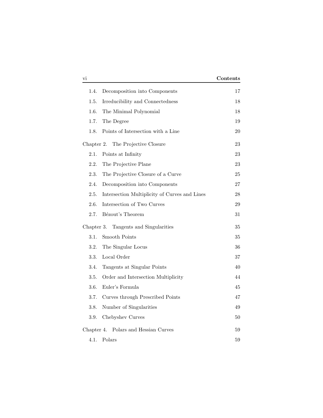| 1.4.       | Decomposition into Components                 | 17 |
|------------|-----------------------------------------------|----|
| 1.5.       | Irreducibility and Connectedness              | 18 |
| 1.6.       | The Minimal Polynomial                        | 18 |
| 1.7.       | The Degree                                    | 19 |
| 1.8.       | Points of Intersection with a Line            | 20 |
| Chapter 2. | The Projective Closure                        | 23 |
| 2.1.       | Points at Infinity                            | 23 |
| 2.2.       | The Projective Plane                          | 23 |
| 2.3.       | The Projective Closure of a Curve             | 25 |
| 2.4.       | Decomposition into Components                 | 27 |
| 2.5.       | Intersection Multiplicity of Curves and Lines | 28 |
| 2.6.       | Intersection of Two Curves                    | 29 |
| 2.7.       | Bézout's Theorem                              | 31 |
| Chapter 3. | Tangents and Singularities                    | 35 |
| 3.1.       | Smooth Points                                 | 35 |
| 3.2.       | The Singular Locus                            | 36 |
| 3.3.       | Local Order                                   | 37 |
| 3.4.       | Tangents at Singular Points                   | 40 |
| 3.5.       | Order and Intersection Multiplicity           | 44 |
| 3.6.       | Euler's Formula                               | 45 |
| 3.7.       | Curves through Prescribed Points              | 47 |
| 3.8.       | Number of Singularities                       | 49 |
| 3.9.       | Chebyshev Curves                              | 50 |
|            | Chapter 4. Polars and Hessian Curves          | 59 |
| 4.1.       | Polars                                        | 59 |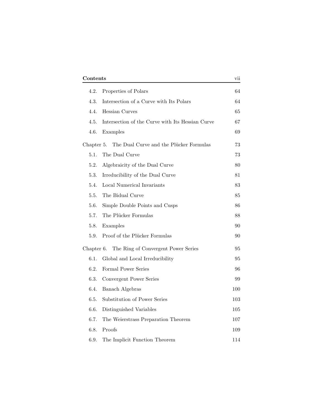| Contents   |                                                  | vii |
|------------|--------------------------------------------------|-----|
| 4.2.       | Properties of Polars                             | 64  |
| 4.3.       | Intersection of a Curve with Its Polars          | 64  |
| 4.4.       | Hessian Curves                                   | 65  |
| 4.5.       | Intersection of the Curve with Its Hessian Curve | 67  |
| 4.6.       | Examples                                         | 69  |
| Chapter 5. | The Dual Curve and the Plücker Formulas          | 73  |
| 5.1.       | The Dual Curve                                   | 73  |
| 5.2.       | Algebraicity of the Dual Curve                   | 80  |
| 5.3.       | Irreducibility of the Dual Curve                 | 81  |
| 5.4.       | Local Numerical Invariants                       | 83  |
| 5.5.       | The Bidual Curve                                 | 85  |
| 5.6.       | Simple Double Points and Cusps                   | 86  |
| 5.7.       | The Plücker Formulas                             | 88  |
| 5.8.       | Examples                                         | 90  |
| 5.9.       | Proof of the Plücker Formulas                    | 90  |
| Chapter 6. | The Ring of Convergent Power Series              | 95  |
| 6.1.       | Global and Local Irreducibility                  | 95  |
| 6.2.       | Formal Power Series                              | 96  |
| 6.3.       | Convergent Power Series                          | 99  |
| 6.4.       | Banach Algebras                                  | 100 |
| 6.5.       | Substitution of Power Series                     | 103 |
| 6.6.       | Distinguished Variables                          | 105 |
| 6.7.       | The Weierstrass Preparation Theorem              | 107 |
| 6.8.       | Proofs                                           | 109 |
| 6.9.       | The Implicit Function Theorem                    | 114 |
|            |                                                  |     |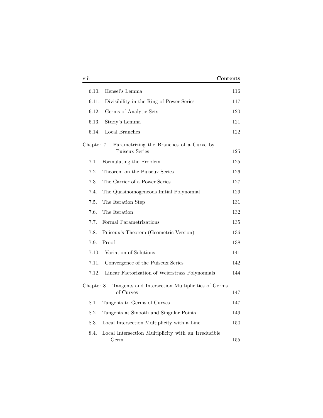| 6.10.      | Hensel's Lemma                                                    | 116 |
|------------|-------------------------------------------------------------------|-----|
| 6.11.      | Divisibility in the Ring of Power Series                          | 117 |
| 6.12.      | Germs of Analytic Sets                                            | 120 |
| 6.13.      | Study's Lemma                                                     | 121 |
| 6.14.      | Local Branches                                                    | 122 |
| Chapter 7. | Parametrizing the Branches of a Curve by<br><b>Puiseux Series</b> | 125 |
| 7.1.       | Formulating the Problem                                           | 125 |
| 7.2.       | Theorem on the Puiseux Series                                     | 126 |
| 7.3.       | The Carrier of a Power Series                                     | 127 |
| 7.4.       | The Quasihomogeneous Initial Polynomial                           | 129 |
| 7.5.       | The Iteration Step                                                | 131 |
| 7.6.       | The Iteration                                                     | 132 |
| 7.7.       | Formal Parametrizations                                           | 135 |
| 7.8.       | Puiseux's Theorem (Geometric Version)                             | 136 |
| 7.9.       | Proof                                                             | 138 |
| 7.10.      | Variation of Solutions                                            | 141 |
| 7.11.      | Convergence of the Puiseux Series                                 | 142 |
| 7.12.      | Linear Factorization of Weierstrass Polynomials                   | 144 |
| Chapter 8. | Tangents and Intersection Multiplicities of Germs<br>of Curves    | 147 |
| 8.1.       | Tangents to Germs of Curves                                       | 147 |
| 8.2.       | Tangents at Smooth and Singular Points                            | 149 |
| 8.3.       | Local Intersection Multiplicity with a Line                       | 150 |
| 8.4.       | Local Intersection Multiplicity with an Irreducible<br>Germ       | 155 |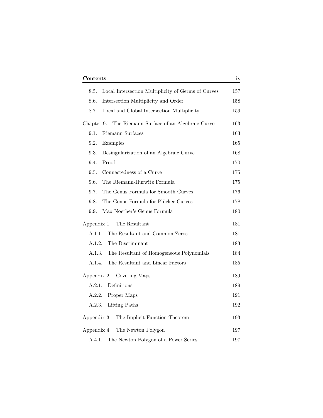| Contents                                                   | ix  |
|------------------------------------------------------------|-----|
| Local Intersection Multiplicity of Germs of Curves<br>8.5. | 157 |
| Intersection Multiplicity and Order<br>8.6.                | 158 |
| 8.7.<br>Local and Global Intersection Multiplicity         | 159 |
| Chapter 9.<br>The Riemann Surface of an Algebraic Curve    | 163 |
| Riemann Surfaces<br>9.1.                                   | 163 |
| 9.2.<br>Examples                                           | 165 |
| 9.3.<br>Desingularization of an Algebraic Curve            | 168 |
| Proof<br>9.4.                                              | 170 |
| Connectedness of a Curve<br>9.5.                           | 175 |
| The Riemann-Hurwitz Formula<br>9.6.                        | 175 |
| 9.7.<br>The Genus Formula for Smooth Curves                | 176 |
| 9.8.<br>The Genus Formula for Plücker Curves               | 178 |
| Max Noether's Genus Formula<br>9.9.                        | 180 |
| Appendix 1.<br>The Resultant                               |     |
| The Resultant and Common Zeros<br>A.1.1.                   | 181 |
| The Discriminant<br>A.1.2.                                 | 183 |
| A.1.3.<br>The Resultant of Homogeneous Polynomials         | 184 |
| The Resultant and Linear Factors<br>A.1.4.                 | 185 |
| Appendix 2.<br>Covering Maps                               | 189 |
| Definitions<br>A.2.1.                                      | 189 |
| A.2.2.<br>Proper Maps                                      | 191 |
| A.2.3.<br>Lifting Paths                                    | 192 |
| The Implicit Function Theorem<br>Appendix 3.               | 193 |
| The Newton Polygon<br>Appendix 4.                          | 197 |
| The Newton Polygon of a Power Series<br>A.4.1.             | 197 |
|                                                            |     |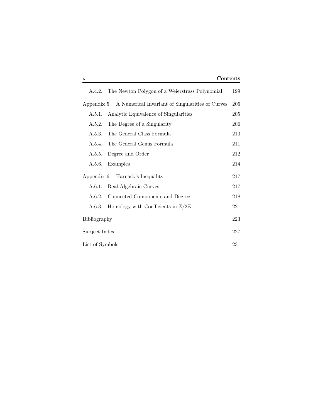|                                         | A.4.2. The Newton Polygon of a Weierstrass Polynomial        | 199 |
|-----------------------------------------|--------------------------------------------------------------|-----|
|                                         | Appendix 5. A Numerical Invariant of Singularities of Curves | 205 |
| A.5.1.                                  | Analytic Equivalence of Singularities                        | 205 |
| A.5.2.                                  | The Degree of a Singularity                                  | 206 |
| A.5.3.                                  | The General Class Formula                                    | 210 |
| A.5.4.                                  | The General Genus Formula                                    | 211 |
| A.5.5.                                  | Degree and Order                                             | 212 |
| A.5.6.                                  | Examples                                                     | 214 |
| Appendix 6. Harnack's Inequality<br>217 |                                                              |     |
| A.6.1.                                  | Real Algebraic Curves                                        | 217 |
| A.6.2.                                  | Connected Components and Degree                              | 218 |
| A.6.3.                                  | Homology with Coefficients in $\mathbb{Z}/2\mathbb{Z}$       | 221 |
| Bibliography                            |                                                              | 223 |
| Subject Index                           |                                                              | 227 |
| List of Symbols                         |                                                              | 231 |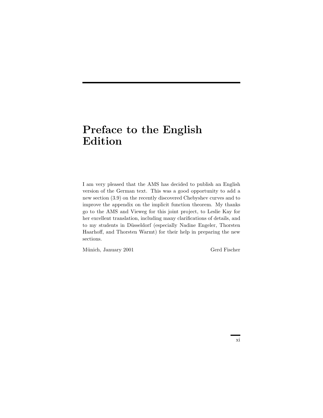### **Preface to the English Edition**

I am very pleased that the AMS has decided to publish an English version of the German text. This was a good opportunity to add a new section (3.9) on the recently discovered Chebyshev curves and to improve the appendix on the implicit function theorem. My thanks go to the AMS and Vieweg for this joint project, to Leslie Kay for her excellent translation, including many clarifications of details, and to my students in Düsseldorf (especially Nadine Engeler, Thorsten Haarhoff, and Thorsten Warmt) for their help in preparing the new sections.

Münich, January 2001 Gerd Fischer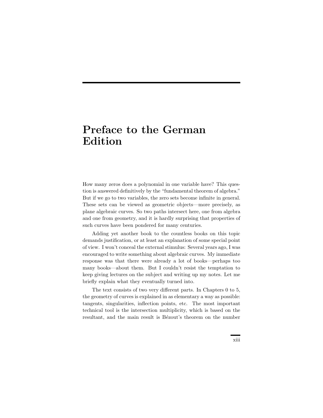#### **Preface to the German Edition**

How many zeros does a polynomial in one variable have? This question is answered definitively by the "fundamental theorem of algebra." But if we go to two variables, the zero sets become infinite in general. These sets can be viewed as geometric objects—more precisely, as plane algebraic curves. So two paths intersect here, one from algebra and one from geometry, and it is hardly surprising that properties of such curves have been pondered for many centuries.

Adding yet another book to the countless books on this topic demands justification, or at least an explanation of some special point of view. I won't conceal the external stimulus: Several years ago, I was encouraged to write something about algebraic curves. My immediate response was that there were already a lot of books—perhaps too many books—about them. But I couldn't resist the temptation to keep giving lectures on the subject and writing up my notes. Let me briefly explain what they eventually turned into.

The text consists of two very different parts. In Chapters 0 to 5, the geometry of curves is explained in as elementary a way as possible: tangents, singularities, inflection points, etc. The most important technical tool is the intersection multiplicity, which is based on the resultant, and the main result is Bézout's theorem on the number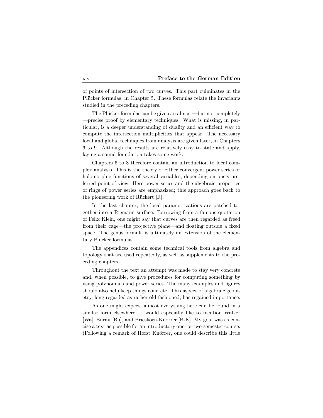of points of intersection of two curves. This part culminates in the Plücker formulas, in Chapter 5. These formulas relate the invariants studied in the preceding chapters.

The Plücker formulas can be given an almost—but not completely —precise proof by elementary techniques. What is missing, in particular, is a deeper understanding of duality and an efficient way to compute the intersection multiplicities that appear. The necessary local and global techniques from analysis are given later, in Chapters 6 to 9. Although the results are relatively easy to state and apply, laying a sound foundation takes some work.

Chapters 6 to 8 therefore contain an introduction to local complex analysis. This is the theory of either convergent power series or holomorphic functions of several variables, depending on one's preferred point of view. Here power series and the algebraic properties of rings of power series are emphasized; this approach goes back to the pioneering work of Rückert [R].

In the last chapter, the local parametrizations are patched together into a Riemann surface. Borrowing from a famous quotation of Felix Klein, one might say that curves are then regarded as freed from their cage—the projective plane—and floating outside a fixed space. The genus formula is ultimately an extension of the elementary Plücker formulas.

The appendices contain some technical tools from algebra and topology that are used repeatedly, as well as supplements to the preceding chapters.

Throughout the text an attempt was made to stay very concrete and, when possible, to give procedures for computing something by using polynomials and power series. The many examples and figures should also help keep things concrete. This aspect of algebraic geometry, long regarded as rather old-fashioned, has regained importance.

As one might expect, almost everything here can be found in a similar form elsewhere. I would especially like to mention Walker [Wa], Burau [Bu], and Brieskorn-Knörrer [B-K]. My goal was as concise a text as possible for an introductory one- or two-semester course. (Following a remark of Horst Knörrer, one could describe this little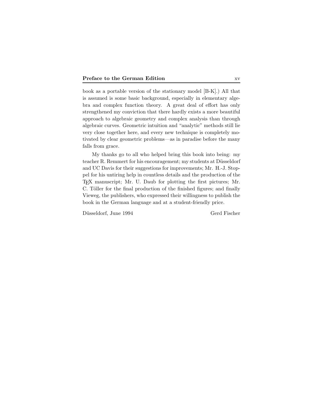book as a portable version of the stationary model [B-K].) All that is assumed is some basic background, especially in elementary algebra and complex function theory. A great deal of effort has only strengthened my conviction that there hardly exists a more beautiful approach to algebraic geometry and complex analysis than through algebraic curves. Geometric intuition and "analytic" methods still lie very close together here, and every new technique is completely motivated by clear geometric problems—as in paradise before the many falls from grace.

My thanks go to all who helped bring this book into being: my teacher R. Remmert for his encouragement; my students at Düsseldorf and UC Davis for their suggestions for improvements; Mr. H.-J. Stoppel for his untiring help in countless details and the production of the TEX manuscript; Mr. U. Daub for plotting the first pictures; Mr. C. Töller for the final production of the finished figures; and finally Vieweg, the publishers, who expressed their willingness to publish the book in the German language and at a student-friendly price.

Düsseldorf, June 1994 Gerd Fischer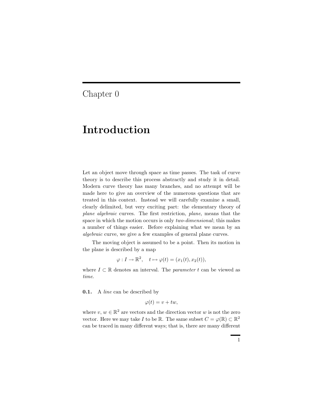#### Chapter 0

#### **Introduction**

Let an object move through space as time passes. The task of curve theory is to describe this process abstractly and study it in detail. Modern curve theory has many branches, and no attempt will be made here to give an overview of the numerous questions that are treated in this context. Instead we will carefully examine a small, clearly delimited, but very exciting part: the elementary theory of plane algebraic curves. The first restriction, plane, means that the space in which the motion occurs is only *two-dimensional*; this makes a number of things easier. Before explaining what we mean by an algebraic curve, we give a few examples of general plane curves.

The moving object is assumed to be a point. Then its motion in the plane is described by a map

$$
\varphi: I \to \mathbb{R}^2, \quad t \mapsto \varphi(t) = (x_1(t), x_2(t)),
$$

where  $I \subset \mathbb{R}$  denotes an interval. The *parameter t* can be viewed as time.

**0.1.** A line can be described by

$$
\varphi(t) = v + tw,
$$

where  $v, w \in \mathbb{R}^2$  are vectors and the direction vector w is not the zero vector. Here we may take I to be R. The same subset  $C = \varphi(\mathbb{R}) \subset \mathbb{R}^2$ can be traced in many different ways; that is, there are many different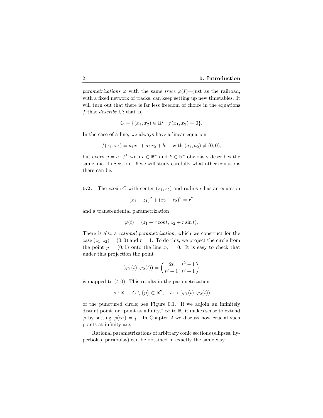parametrizations  $\varphi$  with the same trace  $\varphi(I)$ —just as the railroad, with a fixed network of tracks, can keep setting up new timetables. It will turn out that there is far less freedom of choice in the equations f that *describe*  $C$ ; that is,

$$
C = \{(x_1, x_2) \in \mathbb{R}^2 : f(x_1, x_2) = 0\}.
$$

In the case of a line, we always have a linear equation

$$
f(x_1, x_2) = a_1x_1 + a_2x_2 + b
$$
, with  $(a_1, a_2) \neq (0, 0)$ ,

but every  $g = c \cdot f^k$  with  $c \in \mathbb{R}^*$  and  $k \in \mathbb{N}^*$  obviously describes the same line. In Section 1.6 we will study carefully what other equations there can be.

**0.2.** The *circle C* with center  $(z_1, z_2)$  and radius r has an equation

$$
(x_1 - z_1)^2 + (x_2 - z_2)^2 = r^2
$$

and a transcendental parametrization

$$
\varphi(t) = (z_1 + r \cos t, z_2 + r \sin t).
$$

There is also a rational parametrization, which we construct for the case  $(z_1, z_2) = (0, 0)$  and  $r = 1$ . To do this, we project the circle from the point  $p = (0, 1)$  onto the line  $x_2 = 0$ . It is easy to check that under this projection the point

$$
(\varphi_1(t), \varphi_2(t)) = \left(\frac{2t}{t^2 + 1}, \frac{t^2 - 1}{t^2 + 1}\right)
$$

is mapped to  $(t, 0)$ . This results in the parametrization

$$
\varphi : \mathbb{R} \to C \setminus \{p\} \subset \mathbb{R}^2, \quad t \mapsto (\varphi_1(t), \varphi_2(t))
$$

of the punctured circle; see Figure 0.1. If we adjoin an infinitely distant point, or "point at infinity,"  $\infty$  to  $\mathbb{R}$ , it makes sense to extend  $\varphi$  by setting  $\varphi(\infty) = p$ . In Chapter 2 we discuss how crucial such points at infinity are.

Rational parametrizations of arbitrary conic sections (ellipses, hyperbolas, parabolas) can be obtained in exactly the same way.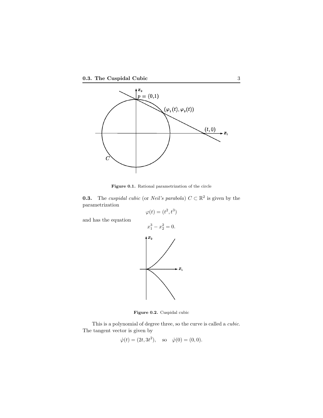

**Figure 0.1.** Rational parametrization of the circle

**0.3.** The *cuspidal cubic* (or *Neil's parabola*)  $C \subset \mathbb{R}^2$  is given by the parametrization

$$
\varphi(t)=(t^2,t^3)
$$

and has the equation



**Figure 0.2.** Cuspidal cubic

This is a polynomial of degree three, so the curve is called a cubic. The tangent vector is given by

$$
\dot{\varphi}(t) = (2t, 3t^2),
$$
 so  $\dot{\varphi}(0) = (0, 0).$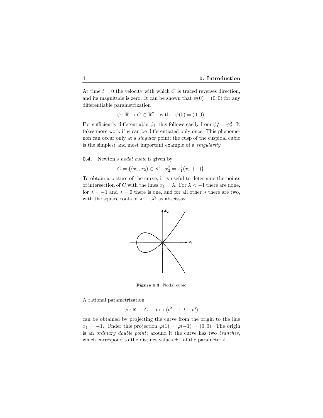At time  $t = 0$  the velocity with which C is traced reverses direction, and its magnitude is zero. It can be shown that  $\dot{\psi}(0) = (0,0)$  for any differentiable parametrization

$$
\psi : \mathbb{R} \to C \subset \mathbb{R}^2 \quad \text{with} \quad \psi(0) = (0, 0).
$$

For sufficiently differentiable  $\psi_i$ , this follows easily from  $\psi_1^3 = \psi_2^2$ . It takes more work if  $\psi$  can be differentiated only once. This phenomenon can occur only at a singular point; the cusp of the cuspidal cubic is the simplest and most important example of a singularity.

**0.4.** Newton's nodal cubic is given by

$$
C = \{ (x_1, x_2) \in \mathbb{R}^2 : x_2^2 = x_1^2(x_1 + 1) \}.
$$

To obtain a picture of the curve, it is useful to determine the points of intersection of C with the lines  $x_1 = \lambda$ . For  $\lambda < -1$  there are none, for  $\lambda = -1$  and  $\lambda = 0$  there is one, and for all other  $\lambda$  there are two, with the square roots of  $\lambda^3 + \lambda^2$  as abscissas.



**Figure 0.3.** Nodal cubic

A rational parametrization

$$
\varphi : \mathbb{R} \to C, \quad t \mapsto (t^2 - 1, t - t^3)
$$

can be obtained by projecting the curve from the origin to the line  $x_1 = -1$ . Under this projection  $\varphi(1) = \varphi(-1) = (0, 0)$ . The origin is an ordinary double point; around it the curve has two branches, which correspond to the distinct values  $\pm 1$  of the parameter t.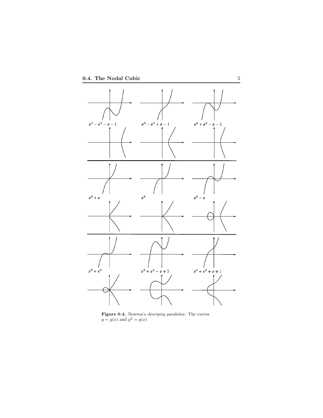

Figure 0.4. Newton's *diverging parabolas*: The curves  $y = g(x)$  and  $y^2 = g(x)$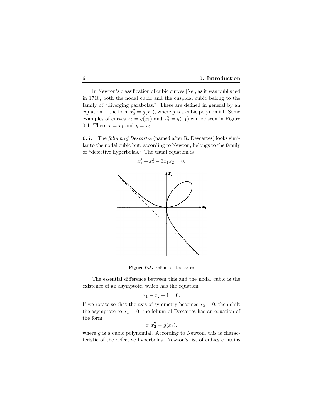In Newton's classification of cubic curves [Ne], as it was published in 1710, both the nodal cubic and the cuspidal cubic belong to the family of "diverging parabolas." These are defined in general by an equation of the form  $x_2^2 = g(x_1)$ , where g is a cubic polynomial. Some examples of curves  $x_2 = g(x_1)$  and  $x_2^2 = g(x_1)$  can be seen in Figure 0.4. There  $x = x_1$  and  $y = x_2$ .

**0.5.** The *folium of Descartes* (named after R. Descartes) looks similar to the nodal cubic but, according to Newton, belongs to the family of "defective hyperbolas." The usual equation is



**Figure 0.5.** Folium of Descartes

The essential difference between this and the nodal cubic is the existence of an asymptote, which has the equation

$$
x_1 + x_2 + 1 = 0.
$$

If we rotate so that the axis of symmetry becomes  $x_2 = 0$ , then shift the asymptote to  $x_1 = 0$ , the folium of Descartes has an equation of the form

$$
x_1 x_2^2 = g(x_1),
$$

where  $g$  is a cubic polynomial. According to Newton, this is characteristic of the defective hyperbolas. Newton's list of cubics contains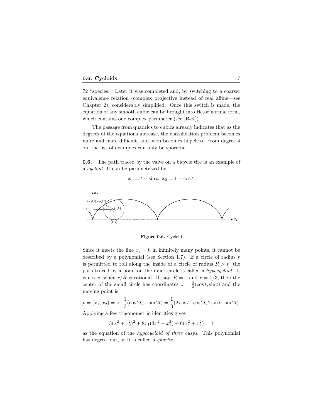72 "species." Later it was completed and, by switching to a coarser equivalence relation (complex projective instead of real affine—see Chapter 2), considerably simplified. Once this switch is made, the equation of any smooth cubic can be brought into Hesse normal form, which contains one complex parameter (see [B-K]).

The passage from quadrics to cubics already indicates that as the degrees of the equations increase, the classification problem becomes more and more difficult, and soon becomes hopeless. From degree 4 on, the list of examples can only be sporadic.

**0.6.** The path traced by the valve on a bicycle tire is an example of a cycloid. It can be parametrized by

 $x_1 = t - \sin t$ ,  $x_2 = 1 - \cos t$ .



**Figure 0.6.** Cycloid

Since it meets the line  $x_2 = 0$  in infinitely many points, it cannot be described by a polynomial (see Section 1.7). If a circle of radius  $r$ is permitted to roll along the inside of a circle of radius  $R>r$ , the path traced by a point on the inner circle is called a hypocycloid. It is closed when  $r/R$  is rational. If, say,  $R = 1$  and  $r = 1/3$ , then the center of the small circle has coordinates  $z = \frac{2}{3}(\cos t, \sin t)$  and the moving point is

$$
p = (x_1, x_2) = z + \frac{1}{3}(\cos 2t, -\sin 2t) = \frac{1}{3}(2\cos t + \cos 2t, 2\sin t - \sin 2t).
$$

Applying a few trigonometric identities gives

$$
3(x_1^2 + x_2^2)^2 + 8x_1(3x_2^2 - x_1^2) + 6(x_1^2 + x_2^2) = 1
$$

as the equation of the hypocycloid of three cusps. This polynomial has degree four, so it is called a quartic.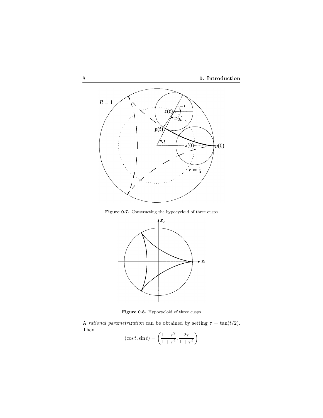

Figure 0.7. Constructing the hypocycloid of three cusps



**Figure 0.8.** Hypocycloid of three cusps

A rational parametrization can be obtained by setting  $\tau = \tan(t/2)$ . Then

$$
(\cos t, \sin t) = \left(\frac{1 - \tau^2}{1 + \tau^2}, \frac{2\tau}{1 + \tau^2}\right)
$$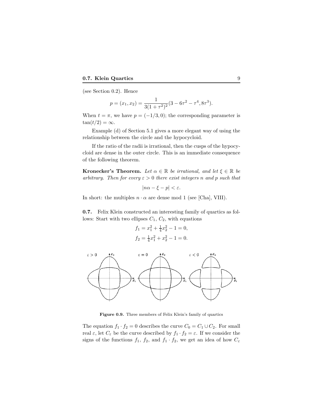(see Section 0.2). Hence

$$
p = (x_1, x_2) = \frac{1}{3(1+\tau^2)^2} (3 - 6\tau^2 - \tau^4, 8\tau^3).
$$

When  $t = \pi$ , we have  $p = (-1/3, 0)$ ; the corresponding parameter is  $tan(t/2) = \infty$ .

Example (d) of Section 5.1 gives a more elegant way of using the relationship between the circle and the hypocycloid.

If the ratio of the radii is irrational, then the cusps of the hypocycloid are dense in the outer circle. This is an immediate consequence of the following theorem.

**Kronecker's Theorem.** Let  $\alpha \in \mathbb{R}$  be irrational, and let  $\xi \in \mathbb{R}$  be arbitrary. Then for every  $\varepsilon > 0$  there exist integers n and p such that

$$
|n\alpha - \xi - p| < \varepsilon.
$$

In short: the multiples  $n \cdot \alpha$  are dense mod 1 (see [Cha], VIII).

**0.7.** Felix Klein constructed an interesting family of quartics as follows: Start with two ellipses  $C_1$ ,  $C_2$ , with equations

$$
f_1 = x_1^2 + \frac{1}{4}x_2^2 - 1 = 0,
$$
  

$$
f_2 = \frac{1}{4}x_1^2 + x_2^2 - 1 = 0.
$$



Figure 0.9. Three members of Felix Klein's family of quartics

The equation  $f_1 \cdot f_2 = 0$  describes the curve  $C_0 = C_1 \cup C_2$ . For small real  $\varepsilon$ , let  $C_{\varepsilon}$  be the curve described by  $f_1 \cdot f_2 = \varepsilon$ . If we consider the signs of the functions  $f_1$ ,  $f_2$ , and  $f_1 \cdot f_2$ , we get an idea of how  $C_{\varepsilon}$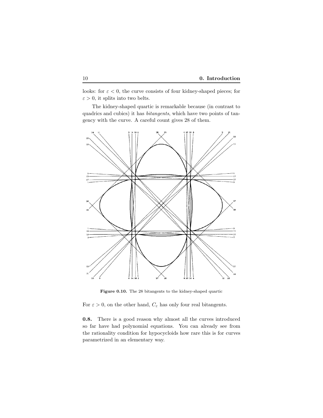looks: for  $\varepsilon < 0$ , the curve consists of four kidney-shaped pieces; for  $\varepsilon > 0$ , it splits into two belts.

The kidney-shaped quartic is remarkable because (in contrast to quadrics and cubics) it has bitangents, which have two points of tangency with the curve. A careful count gives 28 of them.



Figure 0.10. The 28 bitangents to the kidney-shaped quartic

For  $\varepsilon > 0$ , on the other hand,  $C_{\varepsilon}$  has only four real bitangents.

**0.8.** There is a good reason why almost all the curves introduced so far have had polynomial equations. You can already see from the rationality condition for hypocycloids how rare this is for curves parametrized in an elementary way.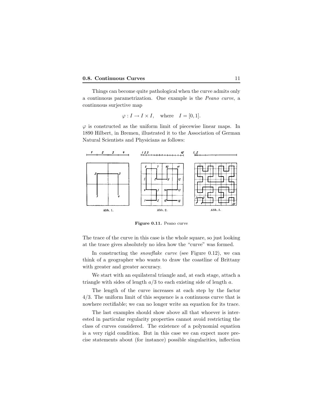Things can become quite pathological when the curve admits only a continuous parametrization. One example is the Peano curve, a continuous surjective map

$$
\varphi: I \to I \times I
$$
, where  $I = [0, 1]$ .

 $\varphi$  is constructed as the uniform limit of piecewise linear maps. In 1890 Hilbert, in Bremen, illustrated it to the Association of German Natural Scientists and Physicians as follows:



**Figure 0.11.** Peano curve

The trace of the curve in this case is the whole square, so just looking at the trace gives absolutely no idea how the "curve" was formed.

In constructing the *snowflake curve* (see Figure 0.12), we can think of a geographer who wants to draw the coastline of Brittany with greater and greater accuracy.

We start with an equilateral triangle and, at each stage, attach a triangle with sides of length  $a/3$  to each existing side of length  $a$ .

The length of the curve increases at each step by the factor 4/3. The uniform limit of this sequence is a continuous curve that is nowhere rectifiable; we can no longer write an equation for its trace.

The last examples should show above all that whoever is interested in particular regularity properties cannot avoid restricting the class of curves considered. The existence of a polynomial equation is a very rigid condition. But in this case we can expect more precise statements about (for instance) possible singularities, inflection